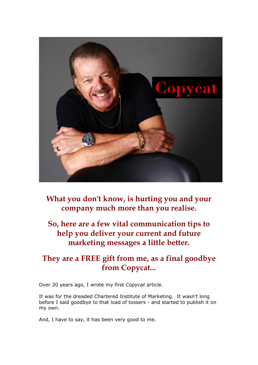

**What you don't know, is hurting you and your company much more than you realise.**

**So, here are a few vital communication tips to help you deliver your current and future marketing messages a little better.**

# **They are a FREE gift from me, as a final goodbye from Copycat...**

Over 20 years ago, I wrote my first *Copycat* article.

It was for the dreaded Chartered Institute of Marketing. It wasn't long before I said goodbye to that load of tossers - and started to publish it on my own.

And, I have to say, it has been very good to me.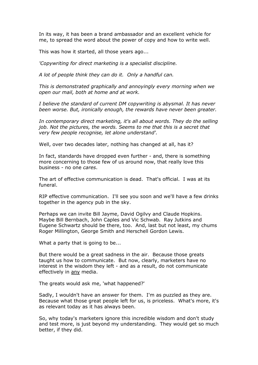In its way, it has been a brand ambassador and an excellent vehicle for me, to spread the word about the power of copy and how to write well.

This was how it started, all those years ago...

*'Copywriting for direct marketing is a specialist discipline.* 

*A lot of people think they can do it. Only a handful can.* 

*This is demonstrated graphically and annoyingly every morning when we open our mail, both at home and at work.* 

*I believe the standard of current DM copywriting is abysmal. It has never been worse. But, ironically enough, the rewards have never been greater.* 

*In contemporary direct marketing, it's all about words. They do the selling job. Not the pictures, the words. Seems to me that this is a secret that very few people recognise, let alone understand'.*

Well, over two decades later, nothing has changed at all, has it?

In fact, standards have dropped even further - and, there is something more concerning to those few of us around now, that really love this business - no one *cares*.

The art of effective communication is dead. That's official. I was at its funeral.

RIP effective communication. I'll see you soon and we'll have a few drinks together in the agency pub in the sky.

Perhaps we can invite Bill Jayme, David Ogilvy and Claude Hopkins. Maybe Bill Bernbach, John Caples and Vic Schwab. Ray Jutkins and Eugene Schwartz should be there, too. And, last but not least, my chums Roger Millington, George Smith and Herschell Gordon Lewis.

What a party that is going to be...

But there would be a great sadness in the air. Because those greats taught us how to communicate. But now, clearly, marketers have no interest in the wisdom they left - and as a result, do not communicate effectively in any media.

The greats would ask me, 'what happened?'

Sadly, I wouldn't have an answer for them. I'm as puzzled as they are. Because what those great people left for us, is priceless. What's more, it's as relevant today as it has always been.

So, why today's marketers ignore this incredible wisdom and don't study and test more, is just beyond my understanding. They would get so much better, if they did.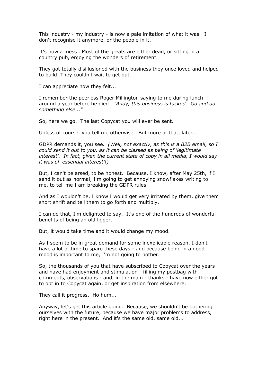This industry - my industry - is now a pale imitation of what it was. I don't recognise it anymore, or the people in it.

It's now a mess . Most of the greats are either dead, or sitting in a country pub, enjoying the wonders of retirement.

They got totally disillusioned with the business they once loved and helped to build. They couldn't wait to get out.

I can appreciate how they felt...

I remember the peerless Roger Millington saying to me during lunch around a year before he died*..."Andy, this business is fucked. Go and do something else..."*

So, here we go. The last Copycat you will ever be sent.

Unless of course, you tell me otherwise. But more of that, later...

GDPR demands it, you see*. (Well, not exactly, as this is a B2B email, so I could send it out to you, as it can be classed as being of 'legitimate interest'. In fact, given the current state of copy in all media, I would say it was of 'essential interest'!)*

But, I can't be arsed, to be honest. Because, I know, after May 25th, if I send it out as normal, I'm going to get annoying snowflakes writing to me, to tell me I am breaking the GDPR rules.

And as I wouldn't be, I know I would get very irritated by them, give them short shrift and tell them to go forth and multiply.

I can do that, I'm delighted to say. It's one of the hundreds of wonderful benefits of being an old ligger.

But, it would take time and it would change my mood.

As I seem to be in great demand for some inexplicable reason, I don't have a lot of time to spare these days - and because being in a good mood is important to me, I'm not going to bother.

So, the thousands of you that have subscribed to Copycat over the years and have had enjoyment and stimulation - filling my postbag with comments, observations - and, in the main - thanks - have now either got to opt in to Copycat again, or get inspiration from elsewhere.

They call it progress. Ho hum...

Anyway, let's get this article going. Because, we shouldn't be bothering ourselves with the future, because we have major problems to address, right here in the present. And it's the same old, same old...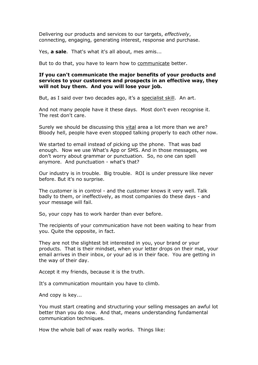Delivering our products and services to our targets, *effectively*, connecting, engaging, generating interest, response and purchase.

Yes, **a sale**. That's what it's all about, mes amis...

But to do that, you have to learn how to communicate better.

#### **If you can't communicate the major benefits of your products and services to your customers and prospects in an effective way, they will not buy them. And you will lose your job.**

But, as I said over two decades ago, it's a specialist skill. An art.

And not many people have it these days. Most don't even recognise it. The rest don't care.

Surely we should be discussing this vital area a lot more than we are? Bloody hell, people have even stopped talking properly to each other now.

We started to email instead of picking up the phone. That was bad enough. Now we use What's App or SMS. And in those messages, we don't worry about grammar or punctuation. So, no one can spell anymore. And punctuation - what's that?

Our industry is in trouble. Big trouble. ROI is under pressure like never before. But it's no surprise.

The customer is in control - and the customer knows it very well. Talk badly to them, or ineffectively, as most companies do these days - and your message will fail.

So, your copy has to work harder than ever before.

The recipients of your communication have not been waiting to hear from you. Quite the opposite, in fact.

They are not the slightest bit interested in you, your brand or your products. That is their mindset, when your letter drops on their mat, your email arrives in their inbox, or your ad is in their face. You are getting in the way of their day.

Accept it my friends, because it is the truth.

It's a communication mountain you have to climb.

And copy is key...

You must start creating and structuring your selling messages an awful lot better than you do now. And that, means understanding fundamental communication techniques.

How the whole ball of wax really works. Things like: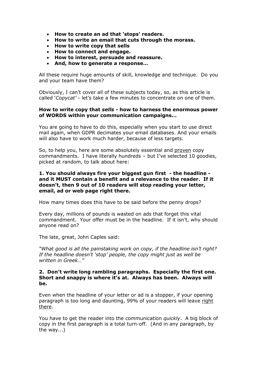- **How to create an ad that 'stops' readers.**
- **How to write an email that cuts through the morass.**
- **How to write copy that sells**
- **How to connect and engage.**
- **How to interest, persuade and reassure.**
- **And, how to generate a response…**

All these require huge amounts of skill, knowledge and technique. Do you and your team have them?

Obviously, I can't cover all of these subjects today, so, as this article is called '*Copycat'* - let's take a few minutes to concentrate on one of them.

## **How to write copy that** *sells* **- how to harness the enormous power of WORDS within your communication campaigns…**

You are going to have to do this, especially when you start to use direct mail again, when GDPR decimates your email databases. And your emails will also have to work much harder, because of less targets.

So, to help you, here are some absolutely essential and proven copy commandments. I have literally hundreds – but I've selected 10 goodies, picked at random, to talk about here:

## **1. You should always fire your biggest gun first - the headline and it MUST contain a benefit and a relevance to the reader. If it doesn't, then 9 out of 10 readers will stop reading your letter, email, ad or web page right there.**

How many times does this have to be said before the penny drops?

Every day, millions of pounds is wasted on ads that forget this vital commandment. Your offer must be in the headline. If it isn't, why should anyone read on?

The late, great, John Caples said:

*"What good is all the painstaking work on copy, if the headline isn't right? If the headline doesn't 'stop' people, the copy might just as well be written in Greek…"*

## **2. Don't write long rambling paragraphs. Especially the first one. Short and snappy is where it's at. Always has been. Always will be.**

Even when the headline of your letter or ad is a stopper, if your opening paragraph is too long and daunting, 99% of your readers will leave right there.

You have to get the reader into the communication *quickly*. A big block of copy in the first paragraph is a total turn-off. (And in any paragraph, by the way...)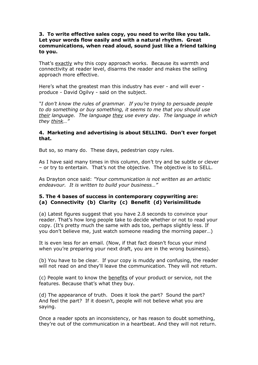## **3. To write effective sales copy, you need to write like you talk. Let your words flow easily and with a natural rhythm. Great communications, when read aloud, sound just like a friend talking to you.**

That's exactly why this copy approach works. Because its warmth and connectivity at reader level, disarms the reader and makes the selling approach more effective.

Here's what the greatest man this industry has ever - and will ever produce - David Ogilvy - said on the subject.

*"I don't know the rules of grammar. If you're trying to persuade people to do something or buy something, it seems to me that you should use their language. The language they use every day. The language in which they think…"* 

## **4. Marketing and advertising is about SELLING. Don't ever forget that.**

But so, so many do. These days, pedestrian copy rules.

As I have said many times in this column, don't try and be subtle or clever – or try to entertain. That's not the objective. The objective is to SELL.

As Drayton once said: *"Your communication is not written as an artistic endeavour. It is written to build your business…"*

## **5. The 4 bases of success in contemporary copywriting are: (a) Connectivity (b) Clarity (c) Benefit (d) Verisimilitude**

(a) Latest figures suggest that you have 2.8 seconds to convince your reader. That's how long people take to decide whether or not to read your copy. (It's pretty much the same with ads too, perhaps slightly less. If you don't believe me, just watch someone reading the morning paper…)

It is even less for an email. (Now, if that fact doesn't focus your mind when you're preparing your next draft, you are in the wrong business).

(b) You have to be clear. If your copy is muddy and confusing, the reader will not read on and they'll leave the communication. They will not return.

(c) People want to know the benefits of your product or service, not the features. Because that's what they buy.

(d) The appearance of truth. Does it look the part? Sound the part? And feel the part? If it doesn't, people will not believe what you are saying.

Once a reader spots an inconsistency, or has reason to doubt something, they're out of the communication in a heartbeat. And they will not return.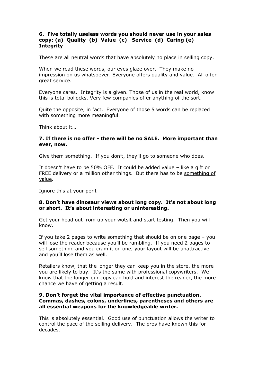## **6. Five totally useless words you should never use in your sales copy: (a) Quality (b) Value (c) Service (d) Caring (e) Integrity**

These are all neutral words that have absolutely no place in selling copy.

When we read these words, our eyes glaze over. They make no impression on us whatsoever. Everyone offers quality and value. All offer great service.

Everyone cares. Integrity is a given. Those of us in the real world, know this is total bollocks. Very few companies offer anything of the sort.

Quite the opposite, in fact. Everyone of those 5 words can be replaced with something more meaningful.

Think about it…

## **7. If there is no offer - there will be no SALE. More important than ever, now.**

Give them something. If you don't, they'll go to someone who does.

It doesn't have to be 50% OFF. It could be added value – like a gift or FREE delivery or a million other things. But there has to be something of value.

Ignore this at your peril.

## **8. Don't have dinosaur views about long copy. It's not about long or short. It's about interesting or uninteresting.**

Get your head out from up your wotsit and start testing. Then you will know.

If you take 2 pages to write something that should be on one page – you will lose the reader because you'll be rambling. If you need 2 pages to sell something and you cram it on one, your layout will be unattractive and you'll lose them as well.

Retailers know, that the longer they can keep you in the store, the more you are likely to buy. It's the same with professional copywriters. We know that the longer our copy can hold and interest the reader, the more chance we have of getting a result.

#### **9. Don't forget the vital importance of effective punctuation. Commas, dashes, colons, underlines, parentheses and others are all essential weapons for the knowledgeable writer.**

This is absolutely essential. Good use of punctuation allows the writer to control the pace of the selling delivery. The pros have known this for decades.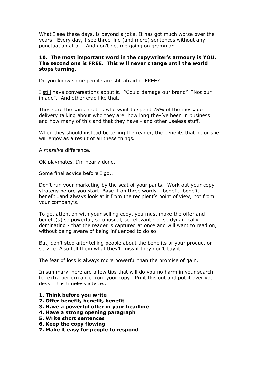What I see these days, is beyond a joke. It has got much worse over the years. Every day, I see three line (and more) sentences without any punctuation at all. And don't get me going on grammar...

## **10. The most important word in the copywriter's armoury is YOU. The second one is FREE. This will never change until the world stops turning.**

Do you know some people are still afraid of FREE?

I still have conversations about it. "Could damage our brand" "Not our image". And other crap like that.

These are the same cretins who want to spend 75% of the message delivery talking about who they are, how long they've been in business and how many of this and that they have - and other useless stuff.

When they should instead be telling the reader, the benefits that he or she will enjoy as a result of all these things.

A *massive* difference.

OK playmates, I'm nearly done.

Some final advice before I go...

Don't run your marketing by the seat of your pants. Work out your copy strategy before you start. Base it on three words – benefit, benefit, benefit…and always look at it from the recipient's point of view, not from your company's.

To get attention with your selling copy, you must make the offer and benefit(s) so powerful, so unusual, so relevant - or so dynamically dominating - that the reader is captured at once and will want to read on, without being aware of being influenced to do so.

But, don't stop after telling people about the benefits of your product or service. Also tell them what they'll miss if they don't buy it.

The fear of loss is always more powerful than the promise of gain.

In summary, here are a few tips that will do you no harm in your search for extra performance from your copy. Print this out and put it over your desk. It is timeless advice...

- **1. Think before you write**
- **2. Offer benefit, benefit, benefit**
- **3. Have a powerful offer in your headline**
- **4. Have a strong opening paragraph**
- **5. Write short sentences**
- **6. Keep the copy flowing**
- **7. Make it easy for people to respond**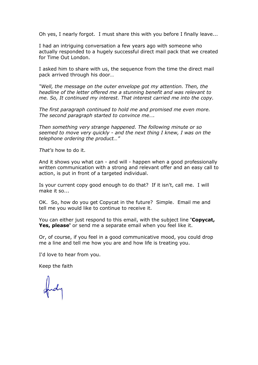Oh yes, I nearly forgot. I must share this with you before I finally leave...

I had an intriguing conversation a few years ago with someone who actually responded to a hugely successful direct mail pack that we created for Time Out London.

I asked him to share with us, the sequence from the time the direct mail pack arrived through his door…

*"Well, the message on the outer envelope got my attention. Then, the headline of the letter offered me a stunning benefit and was relevant to me. So, It continued my interest. That interest carried me into the copy.*

*The first paragraph continued to hold me and promised me even more. The second paragraph started to convince me….*

*Then something very strange happened. The following minute or so seemed to move very quickly - and the next thing I knew, I was on the telephone ordering the product…"*

*That's* how to do it.

And it shows you what can - and will - happen when a good professionally written communication with a strong and relevant offer and an easy call to action, is put in front of a targeted individual.

Is your current copy good enough to do that? If it isn't, call me. I will make it so...

OK. So, how do you get Copycat in the future? Simple. Email me and tell me you would like to continue to receive it.

You can either just respond to this email, with the subject line **'Copycat, Yes, please'** or send me a separate email when you feel like it.

Or, of course, if you feel in a good communicative mood, you could drop me a line and tell me how you are and how life is treating you.

I'd love to hear from you.

Keep the faith